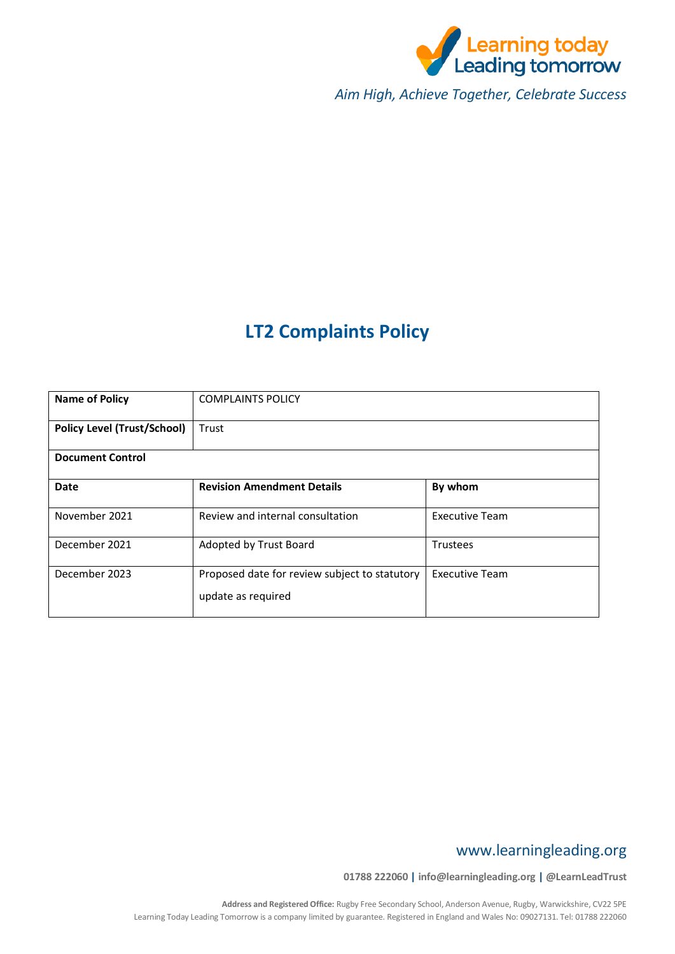

*Aim High, Achieve Together, Celebrate Success*

# **LT2 Complaints Policy**

| <b>Name of Policy</b>              | <b>COMPLAINTS POLICY</b>                                            |                       |  |
|------------------------------------|---------------------------------------------------------------------|-----------------------|--|
| <b>Policy Level (Trust/School)</b> | Trust                                                               |                       |  |
| <b>Document Control</b>            |                                                                     |                       |  |
| <b>Date</b>                        | <b>Revision Amendment Details</b>                                   | By whom               |  |
| November 2021                      | Review and internal consultation                                    | <b>Executive Team</b> |  |
| December 2021                      | Adopted by Trust Board                                              | Trustees              |  |
| December 2023                      | Proposed date for review subject to statutory<br>update as required | <b>Executive Team</b> |  |

## www.learningleading.org

**01788 222060 | info@learningleading.org | @LearnLeadTrust**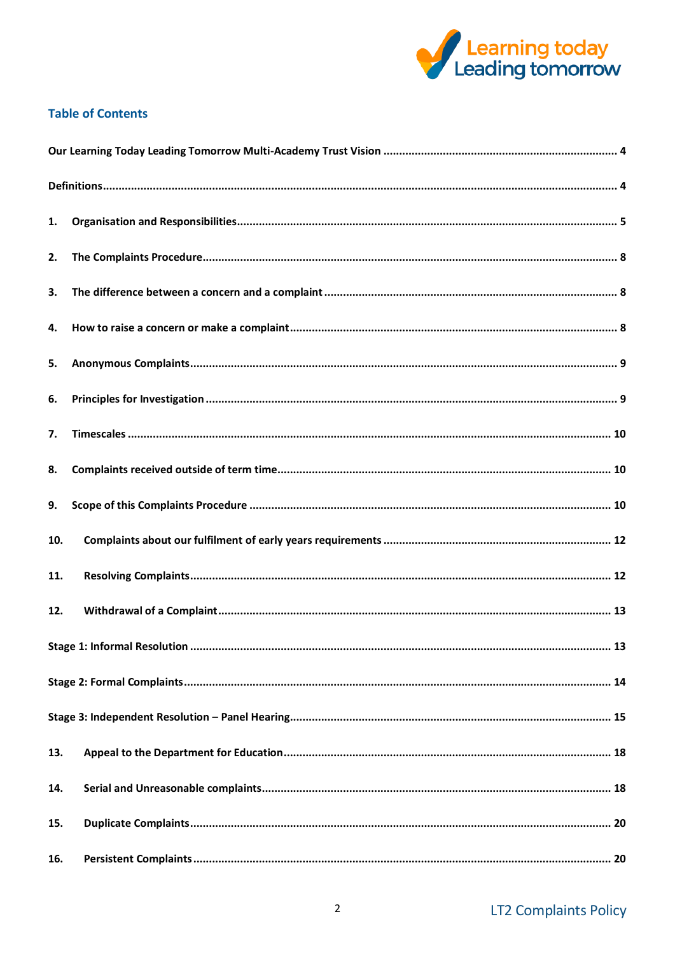

## **Table of Contents**

| 1.  |  |  |
|-----|--|--|
| 2.  |  |  |
| 3.  |  |  |
| 4.  |  |  |
| 5.  |  |  |
| 6.  |  |  |
| 7.  |  |  |
| 8.  |  |  |
| 9.  |  |  |
| 10. |  |  |
| 11. |  |  |
| 12. |  |  |
|     |  |  |
|     |  |  |
|     |  |  |
| 13. |  |  |
| 14. |  |  |
| 15. |  |  |
| 16. |  |  |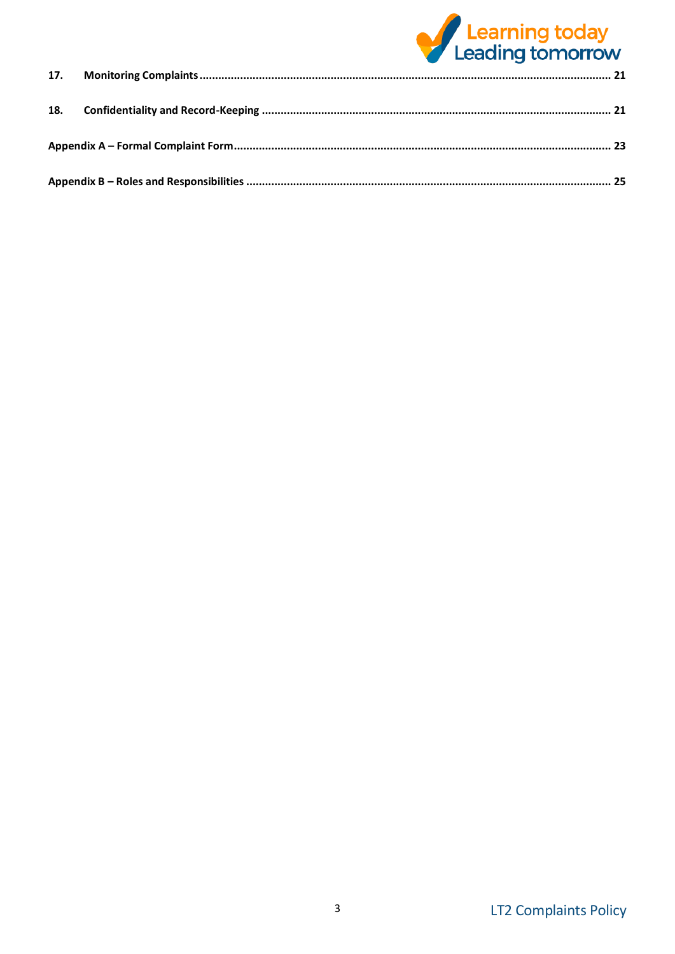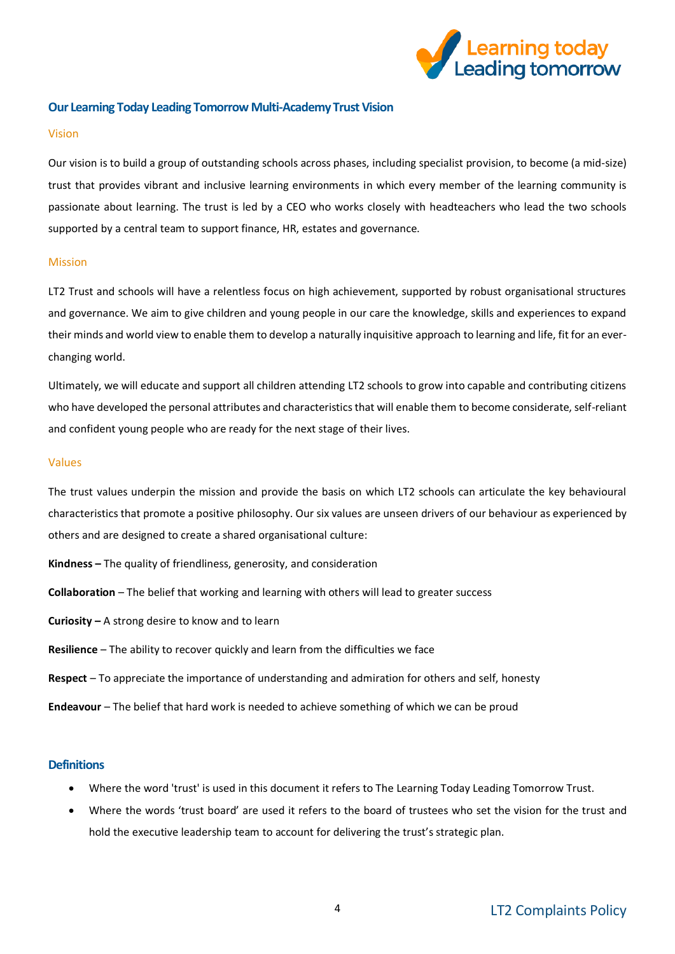

#### <span id="page-3-0"></span>**Our Learning Today Leading Tomorrow Multi-Academy Trust Vision**

#### Vision

Our vision is to build a group of outstanding schools across phases, including specialist provision, to become (a mid-size) trust that provides vibrant and inclusive learning environments in which every member of the learning community is passionate about learning. The trust is led by a CEO who works closely with headteachers who lead the two schools supported by a central team to support finance, HR, estates and governance.

#### Mission

LT2 Trust and schools will have a relentless focus on high achievement, supported by robust organisational structures and governance. We aim to give children and young people in our care the knowledge, skills and experiences to expand their minds and world view to enable them to develop a naturally inquisitive approach to learning and life, fit for an everchanging world.

Ultimately, we will educate and support all children attending LT2 schools to grow into capable and contributing citizens who have developed the personal attributes and characteristics that will enable them to become considerate, self-reliant and confident young people who are ready for the next stage of their lives.

#### Values

The trust values underpin the mission and provide the basis on which LT2 schools can articulate the key behavioural characteristics that promote a positive philosophy. Our six values are unseen drivers of our behaviour as experienced by others and are designed to create a shared organisational culture:

- **Kindness –** The quality of friendliness, generosity, and consideration
- **Collaboration** The belief that working and learning with others will lead to greater success
- **Curiosity –** A strong desire to know and to learn
- **Resilience** The ability to recover quickly and learn from the difficulties we face
- **Respect** To appreciate the importance of understanding and admiration for others and self, honesty
- **Endeavour** The belief that hard work is needed to achieve something of which we can be proud

#### <span id="page-3-1"></span>**Definitions**

- Where the word 'trust' is used in this document it refers to The Learning Today Leading Tomorrow Trust.
- Where the words 'trust board' are used it refers to the board of trustees who set the vision for the trust and hold the executive leadership team to account for delivering the trust's strategic plan.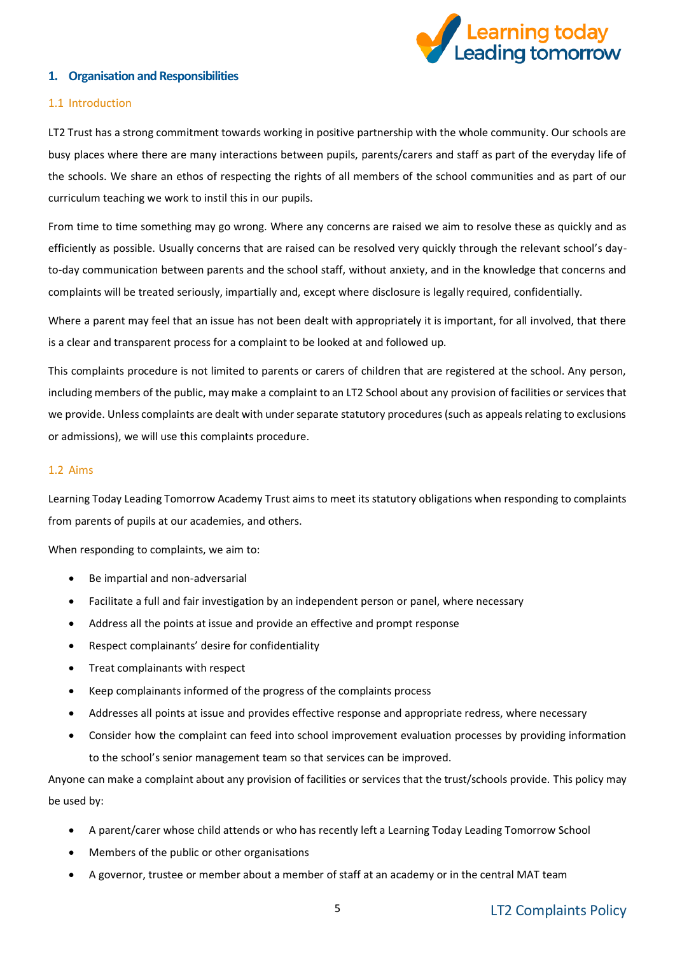

#### <span id="page-4-0"></span>**1. Organisation and Responsibilities**

#### 1.1 Introduction

LT2 Trust has a strong commitment towards working in positive partnership with the whole community. Our schools are busy places where there are many interactions between pupils, parents/carers and staff as part of the everyday life of the schools. We share an ethos of respecting the rights of all members of the school communities and as part of our curriculum teaching we work to instil this in our pupils.

From time to time something may go wrong. Where any concerns are raised we aim to resolve these as quickly and as efficiently as possible. Usually concerns that are raised can be resolved very quickly through the relevant school's dayto-day communication between parents and the school staff, without anxiety, and in the knowledge that concerns and complaints will be treated seriously, impartially and, except where disclosure is legally required, confidentially.

Where a parent may feel that an issue has not been dealt with appropriately it is important, for all involved, that there is a clear and transparent process for a complaint to be looked at and followed up.

This complaints procedure is not limited to parents or carers of children that are registered at the school. Any person, including members of the public, may make a complaint to an LT2 School about any provision of facilities or services that we provide. Unless complaints are dealt with under separate statutory procedures (such as appeals relating to exclusions or admissions), we will use this complaints procedure.

#### 1.2 Aims

Learning Today Leading Tomorrow Academy Trust aims to meet its statutory obligations when responding to complaints from parents of pupils at our academies, and others.

When responding to complaints, we aim to:

- Be impartial and non-adversarial
- Facilitate a full and fair investigation by an independent person or panel, where necessary
- Address all the points at issue and provide an effective and prompt response
- Respect complainants' desire for confidentiality
- Treat complainants with respect
- Keep complainants informed of the progress of the complaints process
- Addresses all points at issue and provides effective response and appropriate redress, where necessary
- Consider how the complaint can feed into school improvement evaluation processes by providing information to the school's senior management team so that services can be improved.

Anyone can make a complaint about any provision of facilities or services that the trust/schools provide. This policy may be used by:

- A parent/carer whose child attends or who has recently left a Learning Today Leading Tomorrow School
- Members of the public or other organisations
- A governor, trustee or member about a member of staff at an academy or in the central MAT team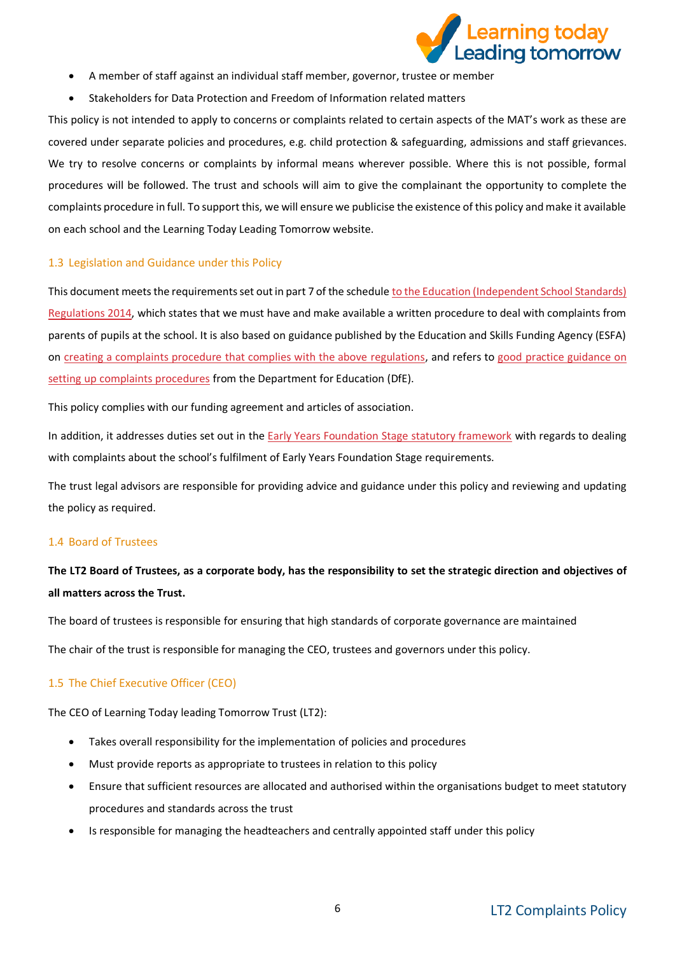

- A member of staff against an individual staff member, governor, trustee or member
- Stakeholders for Data Protection and Freedom of Information related matters

This policy is not intended to apply to concerns or complaints related to certain aspects of the MAT's work as these are covered under separate policies and procedures, e.g. child protection & safeguarding, admissions and staff grievances. We try to resolve concerns or complaints by informal means wherever possible. Where this is not possible, formal procedures will be followed. The trust and schools will aim to give the complainant the opportunity to complete the complaints procedure in full. To support this, we will ensure we publicise the existence of this policy and make it available on each school and the Learning Today Leading Tomorrow website.

#### 1.3 Legislation and Guidance under this Policy

This document meets the requirements set out in part 7 of the schedul[e to the Education \(Independent School Standards\)](http://www.legislation.gov.uk/uksi/2014/3283/schedule/made)  [Regulations 2014,](http://www.legislation.gov.uk/uksi/2014/3283/schedule/made) which states that we must have and make available a written procedure to deal with complaints from parents of pupils at the school. It is also based on guidance published by the Education and Skills Funding Agency (ESFA) on [creating a complaints procedure that complies with the above regulations,](https://www.gov.uk/government/publications/setting-up-an-academies-complaints-procedure) and refers to [good practice guidance on](https://www.gov.uk/government/publications/school-complaints-procedures)  [setting up complaints procedures](https://www.gov.uk/government/publications/school-complaints-procedures) from the Department for Education (DfE).

This policy complies with our funding agreement and articles of association.

In addition, it addresses duties set out in the [Early Years Foundation Stage statutory framework](https://www.gov.uk/government/publications/early-years-foundation-stage-framework--2) with regards to dealing with complaints about the school's fulfilment of Early Years Foundation Stage requirements.

The trust legal advisors are responsible for providing advice and guidance under this policy and reviewing and updating the policy as required.

#### 1.4 Board of Trustees

## **The LT2 Board of Trustees, as a corporate body, has the responsibility to set the strategic direction and objectives of all matters across the Trust.**

The board of trustees is responsible for ensuring that high standards of corporate governance are maintained

The chair of the trust is responsible for managing the CEO, trustees and governors under this policy.

#### 1.5 The Chief Executive Officer (CEO)

The CEO of Learning Today leading Tomorrow Trust (LT2):

- Takes overall responsibility for the implementation of policies and procedures
- Must provide reports as appropriate to trustees in relation to this policy
- Ensure that sufficient resources are allocated and authorised within the organisations budget to meet statutory procedures and standards across the trust
- Is responsible for managing the headteachers and centrally appointed staff under this policy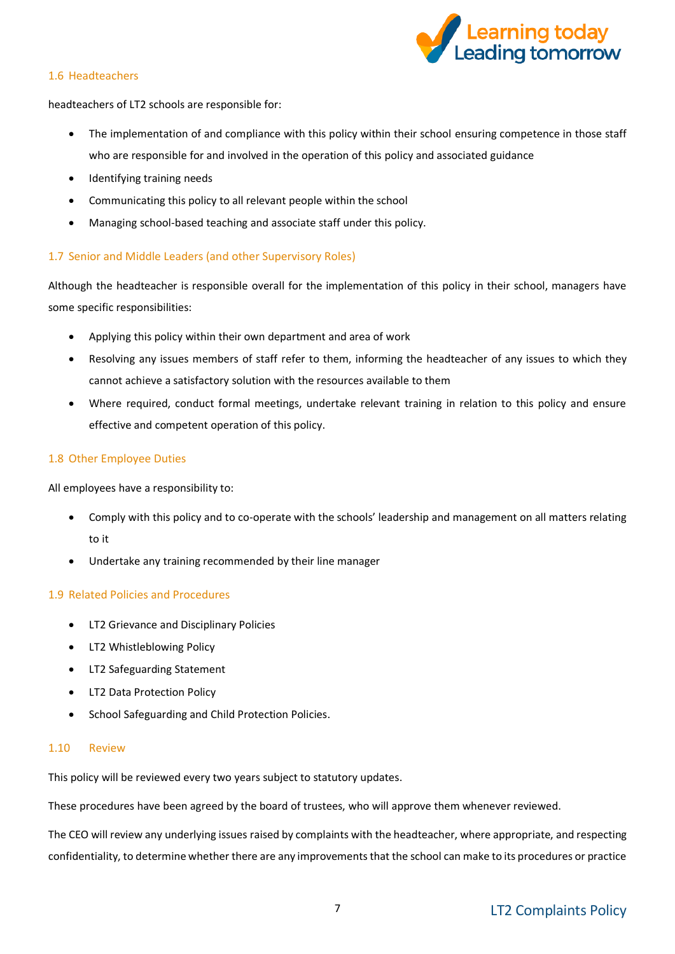

#### 1.6 Headteachers

headteachers of LT2 schools are responsible for:

- The implementation of and compliance with this policy within their school ensuring competence in those staff who are responsible for and involved in the operation of this policy and associated guidance
- Identifying training needs
- Communicating this policy to all relevant people within the school
- Managing school-based teaching and associate staff under this policy.

#### 1.7 Senior and Middle Leaders (and other Supervisory Roles)

Although the headteacher is responsible overall for the implementation of this policy in their school, managers have some specific responsibilities:

- Applying this policy within their own department and area of work
- Resolving any issues members of staff refer to them, informing the headteacher of any issues to which they cannot achieve a satisfactory solution with the resources available to them
- Where required, conduct formal meetings, undertake relevant training in relation to this policy and ensure effective and competent operation of this policy.

#### 1.8 Other Employee Duties

All employees have a responsibility to:

- Comply with this policy and to co-operate with the schools' leadership and management on all matters relating to it
- Undertake any training recommended by their line manager

#### 1.9 Related Policies and Procedures

- LT2 Grievance and Disciplinary Policies
- LT2 Whistleblowing Policy
- LT2 Safeguarding Statement
- LT2 Data Protection Policy
- School Safeguarding and Child Protection Policies.

#### 1.10 Review

This policy will be reviewed every two years subject to statutory updates.

These procedures have been agreed by the board of trustees, who will approve them whenever reviewed.

The CEO will review any underlying issues raised by complaints with the headteacher, where appropriate, and respecting confidentiality, to determine whether there are any improvements that the school can make to its procedures or practice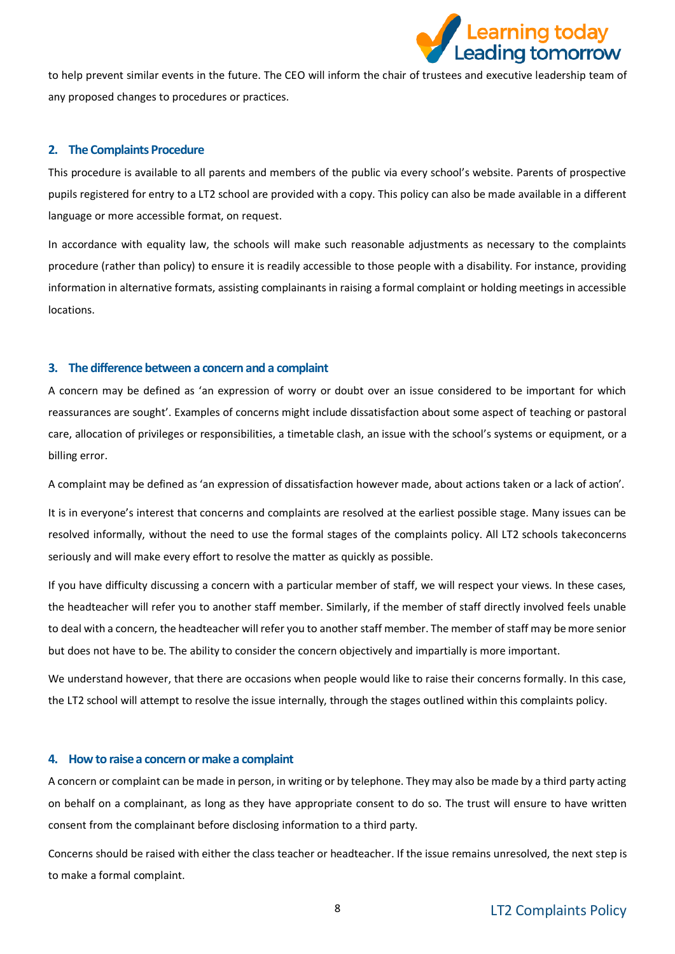

to help prevent similar events in the future. The CEO will inform the chair of trustees and executive leadership team of any proposed changes to procedures or practices.

#### <span id="page-7-0"></span>**2. The Complaints Procedure**

This procedure is available to all parents and members of the public via every school's website. Parents of prospective pupils registered for entry to a LT2 school are provided with a copy. This policy can also be made available in a different language or more accessible format, on request.

In accordance with equality law, the schools will make such reasonable adjustments as necessary to the complaints procedure (rather than policy) to ensure it is readily accessible to those people with a disability. For instance, providing information in alternative formats, assisting complainants in raising a formal complaint or holding meetings in accessible locations.

#### <span id="page-7-1"></span>**3. The difference between a concern and a complaint**

A concern may be defined as 'an expression of worry or doubt over an issue considered to be important for which reassurances are sought'. Examples of concerns might include dissatisfaction about some aspect of teaching or pastoral care, allocation of privileges or responsibilities, a timetable clash, an issue with the school's systems or equipment, or a billing error.

A complaint may be defined as 'an expression of dissatisfaction however made, about actions taken or a lack of action'.

It is in everyone's interest that concerns and complaints are resolved at the earliest possible stage. Many issues can be resolved informally, without the need to use the formal stages of the complaints policy. All LT2 schools takeconcerns seriously and will make every effort to resolve the matter as quickly as possible.

If you have difficulty discussing a concern with a particular member of staff, we will respect your views. In these cases, the headteacher will refer you to another staff member. Similarly, if the member of staff directly involved feels unable to deal with a concern, the headteacher will refer you to another staff member. The member of staff may be more senior but does not have to be. The ability to consider the concern objectively and impartially is more important.

We understand however, that there are occasions when people would like to raise their concerns formally. In this case, the LT2 school will attempt to resolve the issue internally, through the stages outlined within this complaints policy.

#### <span id="page-7-2"></span>**4. How to raise a concern or make a complaint**

A concern or complaint can be made in person, in writing or by telephone. They may also be made by a third party acting on behalf on a complainant, as long as they have appropriate consent to do so. The trust will ensure to have written consent from the complainant before disclosing information to a third party.

Concerns should be raised with either the class teacher or headteacher. If the issue remains unresolved, the next step is to make a formal complaint.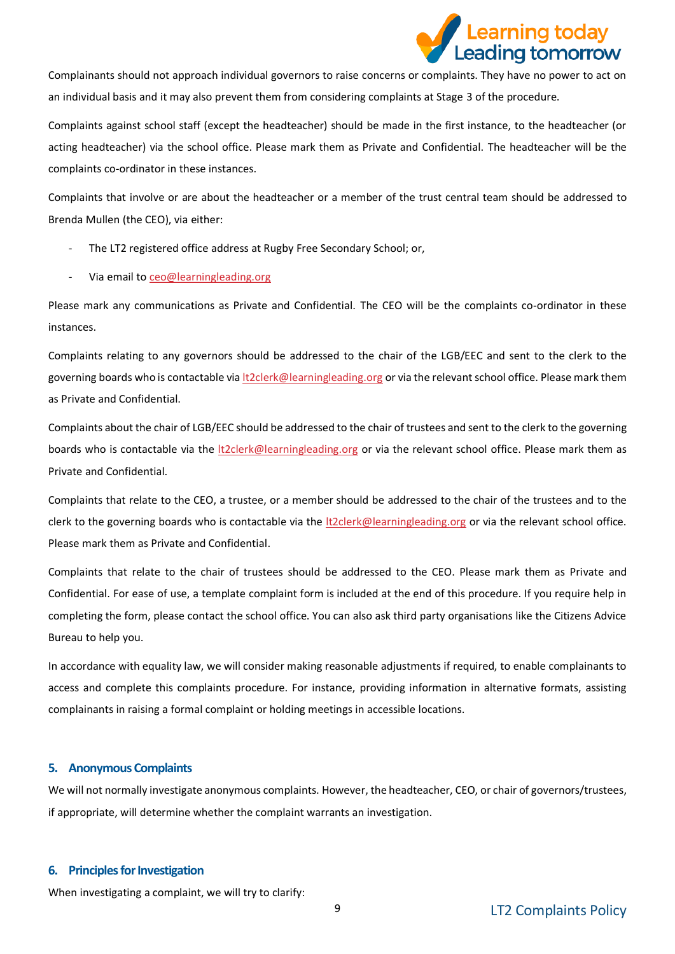

Complainants should not approach individual governors to raise concerns or complaints. They have no power to act on an individual basis and it may also prevent them from considering complaints at Stage 3 of the procedure.

Complaints against school staff (except the headteacher) should be made in the first instance, to the headteacher (or acting headteacher) via the school office. Please mark them as Private and Confidential. The headteacher will be the complaints co-ordinator in these instances.

Complaints that involve or are about the headteacher or a member of the trust central team should be addressed to Brenda Mullen (the CEO), via either:

- The LT2 registered office address at Rugby Free Secondary School; or,
- Via email t[o ceo@learningleading.org](mailto:ceo@learningleading.org)

Please mark any communications as Private and Confidential. The CEO will be the complaints co-ordinator in these instances.

Complaints relating to any governors should be addressed to the chair of the LGB/EEC and sent to the clerk to the governing boards who is contactable via [lt2clerk@learningleading.org](mailto:lt2clerk@learningleading.org) or via the relevant school office. Please mark them as Private and Confidential.

Complaints about the chair of LGB/EEC should be addressed to the chair of trustees and sent to the clerk to the governing boards who is contactable via the *lt2clerk@learningleading.org* or via the relevant school office. Please mark them as Private and Confidential.

Complaints that relate to the CEO, a trustee, or a member should be addressed to the chair of the trustees and to the clerk to the governing boards who is contactable via the [lt2clerk@learningleading.org](mailto:lt2clerk@learningleading.org) or via the relevant school office. Please mark them as Private and Confidential.

Complaints that relate to the chair of trustees should be addressed to the CEO. Please mark them as Private and Confidential. For ease of use, a template complaint form is included at the end of this procedure. If you require help in completing the form, please contact the school office. You can also ask third party organisations like the Citizens Advice Bureau to help you.

In accordance with equality law, we will consider making reasonable adjustments if required, to enable complainants to access and complete this complaints procedure. For instance, providing information in alternative formats, assisting complainants in raising a formal complaint or holding meetings in accessible locations.

#### <span id="page-8-0"></span>**5. Anonymous Complaints**

We will not normally investigate anonymous complaints. However, the headteacher, CEO, or chair of governors/trustees, if appropriate, will determine whether the complaint warrants an investigation.

#### <span id="page-8-1"></span>**6. Principles for Investigation**

When investigating a complaint, we will try to clarify: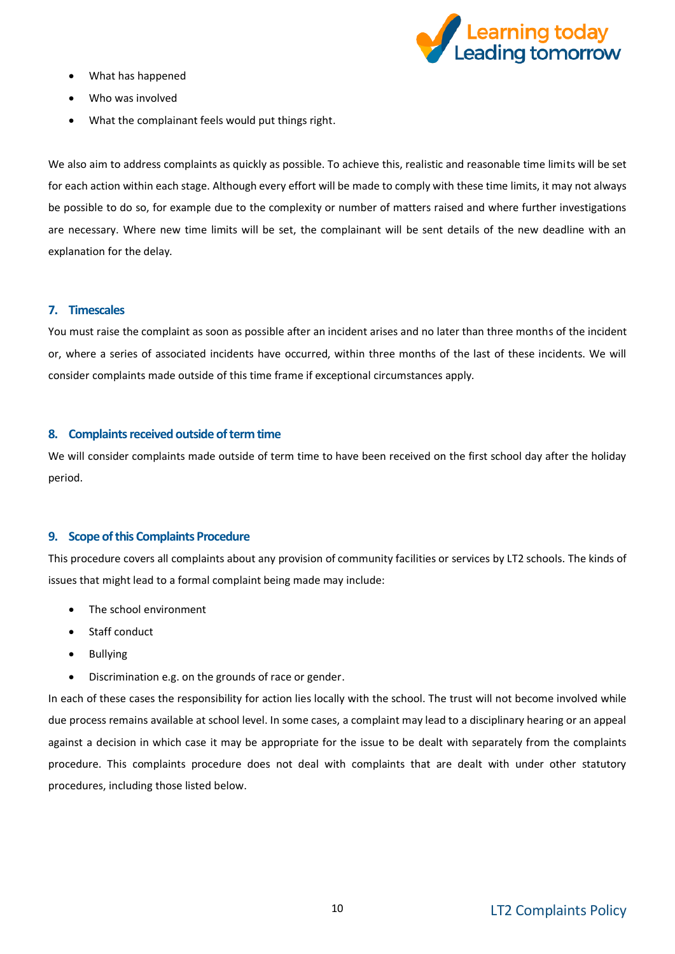

- What has happened
- Who was involved
- What the complainant feels would put things right.

We also aim to address complaints as quickly as possible. To achieve this, realistic and reasonable time limits will be set for each action within each stage. Although every effort will be made to comply with these time limits, it may not always be possible to do so, for example due to the complexity or number of matters raised and where further investigations are necessary. Where new time limits will be set, the complainant will be sent details of the new deadline with an explanation for the delay.

#### <span id="page-9-0"></span>**7. Timescales**

You must raise the complaint as soon as possible after an incident arises and no later than three months of the incident or, where a series of associated incidents have occurred, within three months of the last of these incidents. We will consider complaints made outside of this time frame if exceptional circumstances apply.

#### <span id="page-9-1"></span>**8. Complaints received outside of term time**

We will consider complaints made outside of term time to have been received on the first school day after the holiday period.

#### <span id="page-9-2"></span>**9. Scope of this Complaints Procedure**

This procedure covers all complaints about any provision of community facilities or services by LT2 schools. The kinds of issues that might lead to a formal complaint being made may include:

- The school environment
- Staff conduct
- Bullying
- Discrimination e.g. on the grounds of race or gender.

In each of these cases the responsibility for action lies locally with the school. The trust will not become involved while due process remains available at school level. In some cases, a complaint may lead to a disciplinary hearing or an appeal against a decision in which case it may be appropriate for the issue to be dealt with separately from the complaints procedure. This complaints procedure does not deal with complaints that are dealt with under other statutory procedures, including those listed below.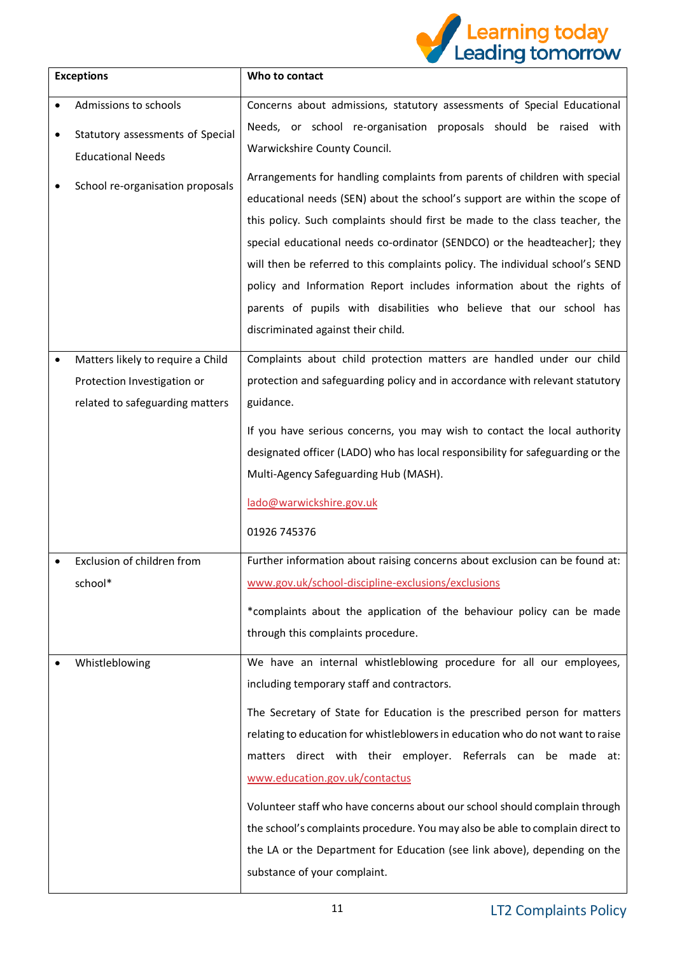

|           | <b>Exceptions</b>                 | Who to contact                                                                 |
|-----------|-----------------------------------|--------------------------------------------------------------------------------|
| $\bullet$ | Admissions to schools             | Concerns about admissions, statutory assessments of Special Educational        |
| $\bullet$ | Statutory assessments of Special  | Needs, or school re-organisation proposals should be raised with               |
|           | <b>Educational Needs</b>          | Warwickshire County Council.                                                   |
|           | School re-organisation proposals  | Arrangements for handling complaints from parents of children with special     |
|           |                                   | educational needs (SEN) about the school's support are within the scope of     |
|           |                                   | this policy. Such complaints should first be made to the class teacher, the    |
|           |                                   | special educational needs co-ordinator (SENDCO) or the headteacher]; they      |
|           |                                   | will then be referred to this complaints policy. The individual school's SEND  |
|           |                                   | policy and Information Report includes information about the rights of         |
|           |                                   | parents of pupils with disabilities who believe that our school has            |
|           |                                   | discriminated against their child.                                             |
| $\bullet$ | Matters likely to require a Child | Complaints about child protection matters are handled under our child          |
|           | Protection Investigation or       | protection and safeguarding policy and in accordance with relevant statutory   |
|           | related to safeguarding matters   | guidance.                                                                      |
|           |                                   | If you have serious concerns, you may wish to contact the local authority      |
|           |                                   | designated officer (LADO) who has local responsibility for safeguarding or the |
|           |                                   | Multi-Agency Safeguarding Hub (MASH).                                          |
|           |                                   | lado@warwickshire.gov.uk                                                       |
|           |                                   | 01926 745376                                                                   |
|           | Exclusion of children from        | Further information about raising concerns about exclusion can be found at:    |
|           | school*                           | www.gov.uk/school-discipline-exclusions/exclusions                             |
|           |                                   | *complaints about the application of the behaviour policy can be made          |
|           |                                   | through this complaints procedure.                                             |
|           | Whistleblowing                    | We have an internal whistleblowing procedure for all our employees,            |
|           |                                   | including temporary staff and contractors.                                     |
|           |                                   | The Secretary of State for Education is the prescribed person for matters      |
|           |                                   | relating to education for whistleblowers in education who do not want to raise |
|           |                                   | matters direct with their employer. Referrals can be made at:                  |
|           |                                   | www.education.gov.uk/contactus                                                 |
|           |                                   | Volunteer staff who have concerns about our school should complain through     |
|           |                                   | the school's complaints procedure. You may also be able to complain direct to  |
|           |                                   | the LA or the Department for Education (see link above), depending on the      |
|           |                                   | substance of your complaint.                                                   |
|           |                                   |                                                                                |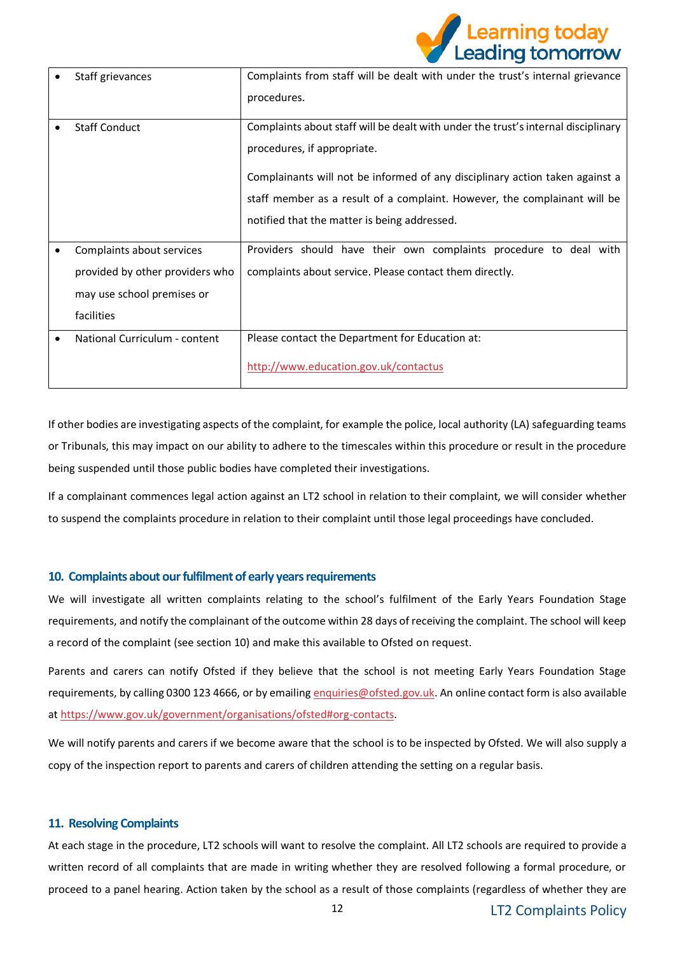

| Staff grievances                | Complaints from staff will be dealt with under the trust's internal grievance<br>procedures.                                                                                                                                                                                                                                  |
|---------------------------------|-------------------------------------------------------------------------------------------------------------------------------------------------------------------------------------------------------------------------------------------------------------------------------------------------------------------------------|
| <b>Staff Conduct</b>            | Complaints about staff will be dealt with under the trust's internal disciplinary<br>procedures, if appropriate.<br>Complainants will not be informed of any disciplinary action taken against a<br>staff member as a result of a complaint. However, the complainant will be<br>notified that the matter is being addressed. |
| Complaints about services       | Providers should have their own complaints procedure to deal with                                                                                                                                                                                                                                                             |
| provided by other providers who | complaints about service. Please contact them directly.                                                                                                                                                                                                                                                                       |
| may use school premises or      |                                                                                                                                                                                                                                                                                                                               |
| facilities                      |                                                                                                                                                                                                                                                                                                                               |
| National Curriculum - content   | Please contact the Department for Education at:                                                                                                                                                                                                                                                                               |
|                                 | http://www.education.gov.uk/contactus                                                                                                                                                                                                                                                                                         |

If other bodies are investigating aspects of the complaint, for example the police, local authority (LA) safeguarding teams or Tribunals, this may impact on our ability to adhere to the timescales within this procedure or result in the procedure being suspended until those public bodies have completed their investigations.

If a complainant commences legal action against an LT2 school in relation to their complaint, we will consider whether to suspend the complaints procedure in relation to their complaint until those legal proceedings have concluded.

#### <span id="page-11-0"></span>**10. Complaints about our fulfilment of early years requirements**

We will investigate all written complaints relating to the school's fulfilment of the Early Years Foundation Stage requirements, and notify the complainant of the outcome within 28 days of receiving the complaint. The school will keep a record of the complaint (see section 10) and make this available to Ofsted on request.

Parents and carers can notify Ofsted if they believe that the school is not meeting Early Years Foundation Stage requirements, by calling 0300 123 4666, or by emailin[g enquiries@ofsted.gov.uk.](mailto:enquiries@ofsted.gov.uk) An online contact form is also available a[t https://www.gov.uk/government/organisations/ofsted#org-contacts.](https://www.gov.uk/government/organisations/ofsted#org-contacts)

We will notify parents and carers if we become aware that the school is to be inspected by Ofsted. We will also supply a copy of the inspection report to parents and carers of children attending the setting on a regular basis.

#### <span id="page-11-1"></span>**11. Resolving Complaints**

At each stage in the procedure, LT2 schools will want to resolve the complaint. All LT2 schools are required to provide a written record of all complaints that are made in writing whether they are resolved following a formal procedure, or proceed to a panel hearing. Action taken by the school as a result of those complaints (regardless of whether they are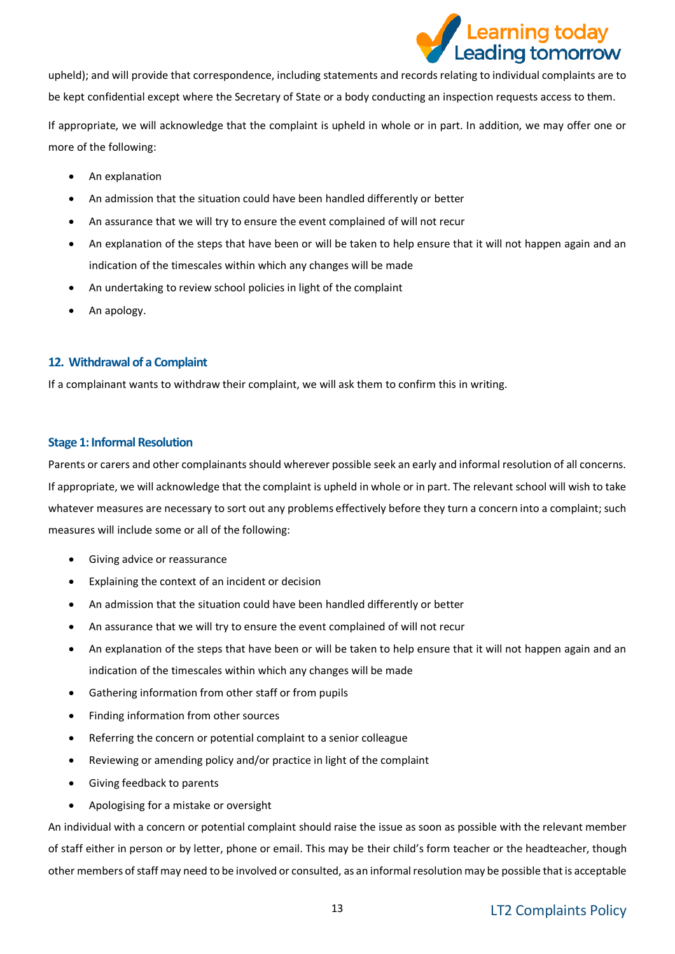

upheld); and will provide that correspondence, including statements and records relating to individual complaints are to be kept confidential except where the Secretary of State or a body conducting an inspection requests access to them.

If appropriate, we will acknowledge that the complaint is upheld in whole or in part. In addition, we may offer one or more of the following:

- An explanation
- An admission that the situation could have been handled differently or better
- An assurance that we will try to ensure the event complained of will not recur
- An explanation of the steps that have been or will be taken to help ensure that it will not happen again and an indication of the timescales within which any changes will be made
- An undertaking to review school policies in light of the complaint
- An apology.

#### <span id="page-12-0"></span>**12. Withdrawal of a Complaint**

If a complainant wants to withdraw their complaint, we will ask them to confirm this in writing.

#### <span id="page-12-1"></span>**Stage 1: Informal Resolution**

Parents or carers and other complainants should wherever possible seek an early and informal resolution of all concerns. If appropriate, we will acknowledge that the complaint is upheld in whole or in part. The relevant school will wish to take whatever measures are necessary to sort out any problems effectively before they turn a concern into a complaint; such measures will include some or all of the following:

- Giving advice or reassurance
- Explaining the context of an incident or decision
- An admission that the situation could have been handled differently or better
- An assurance that we will try to ensure the event complained of will not recur
- An explanation of the steps that have been or will be taken to help ensure that it will not happen again and an indication of the timescales within which any changes will be made
- Gathering information from other staff or from pupils
- Finding information from other sources
- Referring the concern or potential complaint to a senior colleague
- Reviewing or amending policy and/or practice in light of the complaint
- Giving feedback to parents
- Apologising for a mistake or oversight

An individual with a concern or potential complaint should raise the issue as soon as possible with the relevant member of staff either in person or by letter, phone or email. This may be their child's form teacher or the headteacher, though other members of staff may need to be involved or consulted, as an informal resolution may be possible that is acceptable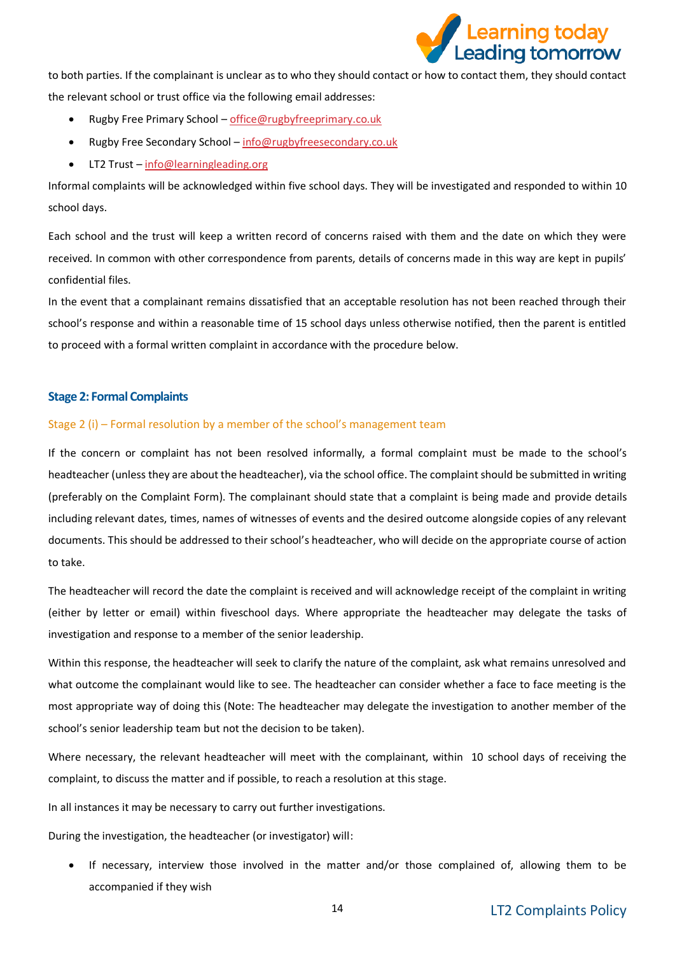

to both parties. If the complainant is unclear as to who they should contact or how to contact them, they should contact the relevant school or trust office via the following email addresses:

- Rugby Free Primary School [office@rugbyfreeprimary.co.uk](mailto:office@rugbyfreeprimary.co.uk)
- Rugby Free Secondary School [info@rugbyfreesecondary.co.uk](mailto:info@rugbyfreesecondary.co.uk)
- LT2 Trust [info@learningleading.org](mailto:info@learningleading.org)

Informal complaints will be acknowledged within five school days. They will be investigated and responded to within 10 school days.

Each school and the trust will keep a written record of concerns raised with them and the date on which they were received. In common with other correspondence from parents, details of concerns made in this way are kept in pupils' confidential files.

In the event that a complainant remains dissatisfied that an acceptable resolution has not been reached through their school's response and within a reasonable time of 15 school days unless otherwise notified, then the parent is entitled to proceed with a formal written complaint in accordance with the procedure below.

#### <span id="page-13-0"></span>**Stage 2: Formal Complaints**

#### Stage 2 (i) – Formal resolution by a member of the school's management team

If the concern or complaint has not been resolved informally, a formal complaint must be made to the school's headteacher (unless they are about the headteacher), via the school office. The complaint should be submitted in writing (preferably on the Complaint Form). The complainant should state that a complaint is being made and provide details including relevant dates, times, names of witnesses of events and the desired outcome alongside copies of any relevant documents. This should be addressed to their school's headteacher, who will decide on the appropriate course of action to take.

The headteacher will record the date the complaint is received and will acknowledge receipt of the complaint in writing (either by letter or email) within fiveschool days. Where appropriate the headteacher may delegate the tasks of investigation and response to a member of the senior leadership.

Within this response, the headteacher will seek to clarify the nature of the complaint, ask what remains unresolved and what outcome the complainant would like to see. The headteacher can consider whether a face to face meeting is the most appropriate way of doing this (Note: The headteacher may delegate the investigation to another member of the school's senior leadership team but not the decision to be taken).

Where necessary, the relevant headteacher will meet with the complainant, within 10 school days of receiving the complaint, to discuss the matter and if possible, to reach a resolution at this stage.

In all instances it may be necessary to carry out further investigations.

During the investigation, the headteacher (or investigator) will:

• If necessary, interview those involved in the matter and/or those complained of, allowing them to be accompanied if they wish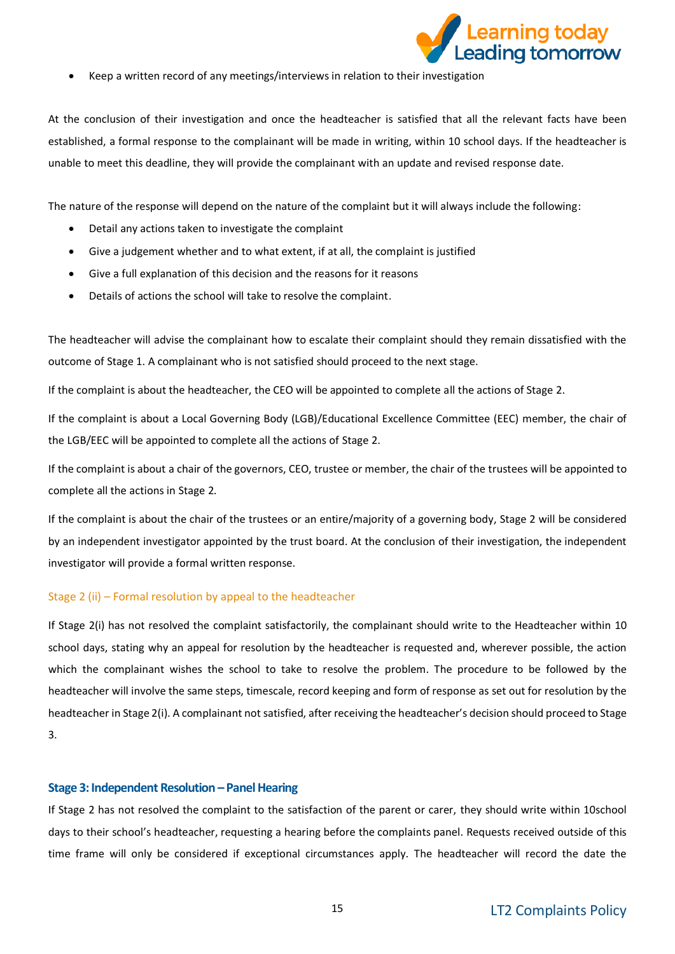

• Keep a written record of any meetings/interviews in relation to their investigation

At the conclusion of their investigation and once the headteacher is satisfied that all the relevant facts have been established, a formal response to the complainant will be made in writing, within 10 school days. If the headteacher is unable to meet this deadline, they will provide the complainant with an update and revised response date.

The nature of the response will depend on the nature of the complaint but it will always include the following:

- Detail any actions taken to investigate the complaint
- Give a judgement whether and to what extent, if at all, the complaint is justified
- Give a full explanation of this decision and the reasons for it reasons
- Details of actions the school will take to resolve the complaint.

The headteacher will advise the complainant how to escalate their complaint should they remain dissatisfied with the outcome of Stage 1. A complainant who is not satisfied should proceed to the next stage.

If the complaint is about the headteacher, the CEO will be appointed to complete all the actions of Stage 2.

If the complaint is about a Local Governing Body (LGB)/Educational Excellence Committee (EEC) member, the chair of the LGB/EEC will be appointed to complete all the actions of Stage 2.

If the complaint is about a chair of the governors, CEO, trustee or member, the chair of the trustees will be appointed to complete all the actions in Stage 2.

If the complaint is about the chair of the trustees or an entire/majority of a governing body, Stage 2 will be considered by an independent investigator appointed by the trust board. At the conclusion of their investigation, the independent investigator will provide a formal written response.

#### Stage 2 (ii) – Formal resolution by appeal to the headteacher

If Stage 2(i) has not resolved the complaint satisfactorily, the complainant should write to the Headteacher within 10 school days, stating why an appeal for resolution by the headteacher is requested and, wherever possible, the action which the complainant wishes the school to take to resolve the problem. The procedure to be followed by the headteacher will involve the same steps, timescale, record keeping and form of response as set out for resolution by the headteacher in Stage 2(i). A complainant not satisfied, after receiving the headteacher's decision should proceed to Stage 3.

#### <span id="page-14-0"></span>**Stage 3: Independent Resolution –Panel Hearing**

If Stage 2 has not resolved the complaint to the satisfaction of the parent or carer, they should write within 10school days to their school's headteacher, requesting a hearing before the complaints panel. Requests received outside of this time frame will only be considered if exceptional circumstances apply. The headteacher will record the date the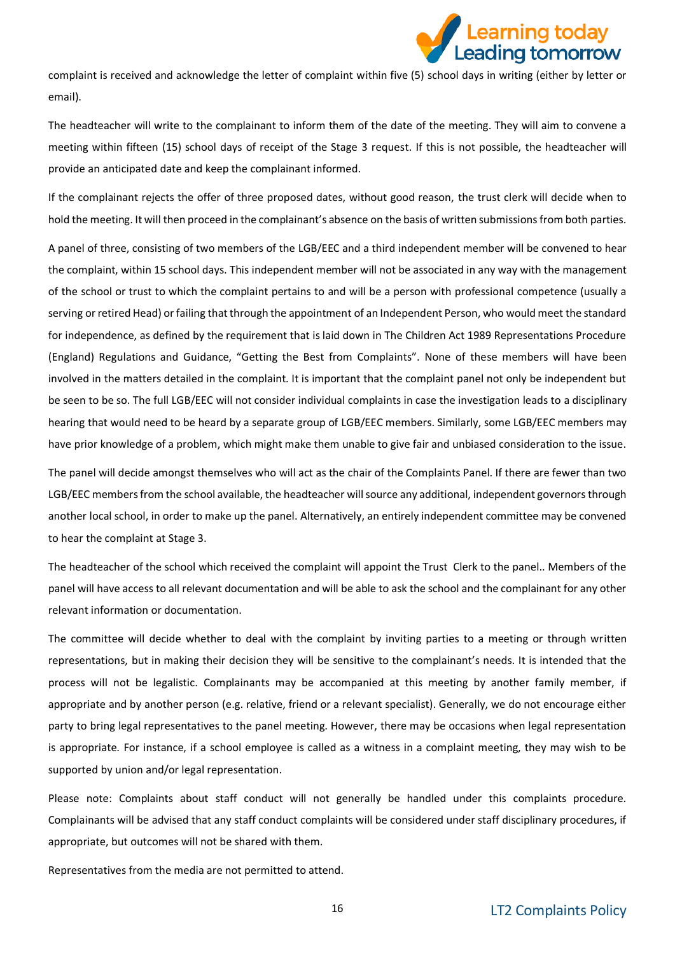

complaint is received and acknowledge the letter of complaint within five (5) school days in writing (either by letter or email).

The headteacher will write to the complainant to inform them of the date of the meeting. They will aim to convene a meeting within fifteen (15) school days of receipt of the Stage 3 request. If this is not possible, the headteacher will provide an anticipated date and keep the complainant informed.

If the complainant rejects the offer of three proposed dates, without good reason, the trust clerk will decide when to hold the meeting. It will then proceed in the complainant's absence on the basis of written submissions from both parties.

A panel of three, consisting of two members of the LGB/EEC and a third independent member will be convened to hear the complaint, within 15 school days. This independent member will not be associated in any way with the management of the school or trust to which the complaint pertains to and will be a person with professional competence (usually a serving or retired Head) or failing that through the appointment of an Independent Person, who would meet the standard for independence, as defined by the requirement that is laid down in The Children Act 1989 Representations Procedure (England) Regulations and Guidance, "Getting the Best from Complaints". None of these members will have been involved in the matters detailed in the complaint. It is important that the complaint panel not only be independent but be seen to be so. The full LGB/EEC will not consider individual complaints in case the investigation leads to a disciplinary hearing that would need to be heard by a separate group of LGB/EEC members. Similarly, some LGB/EEC members may have prior knowledge of a problem, which might make them unable to give fair and unbiased consideration to the issue.

The panel will decide amongst themselves who will act as the chair of the Complaints Panel. If there are fewer than two LGB/EEC members from the school available, the headteacher will source any additional, independent governors through another local school, in order to make up the panel. Alternatively, an entirely independent committee may be convened to hear the complaint at Stage 3.

The headteacher of the school which received the complaint will appoint the Trust Clerk to the panel.. Members of the panel will have access to all relevant documentation and will be able to ask the school and the complainant for any other relevant information or documentation.

The committee will decide whether to deal with the complaint by inviting parties to a meeting or through written representations, but in making their decision they will be sensitive to the complainant's needs. It is intended that the process will not be legalistic. Complainants may be accompanied at this meeting by another family member, if appropriate and by another person (e.g. relative, friend or a relevant specialist). Generally, we do not encourage either party to bring legal representatives to the panel meeting. However, there may be occasions when legal representation is appropriate. For instance, if a school employee is called as a witness in a complaint meeting, they may wish to be supported by union and/or legal representation.

Please note: Complaints about staff conduct will not generally be handled under this complaints procedure. Complainants will be advised that any staff conduct complaints will be considered under staff disciplinary procedures, if appropriate, but outcomes will not be shared with them.

Representatives from the media are not permitted to attend.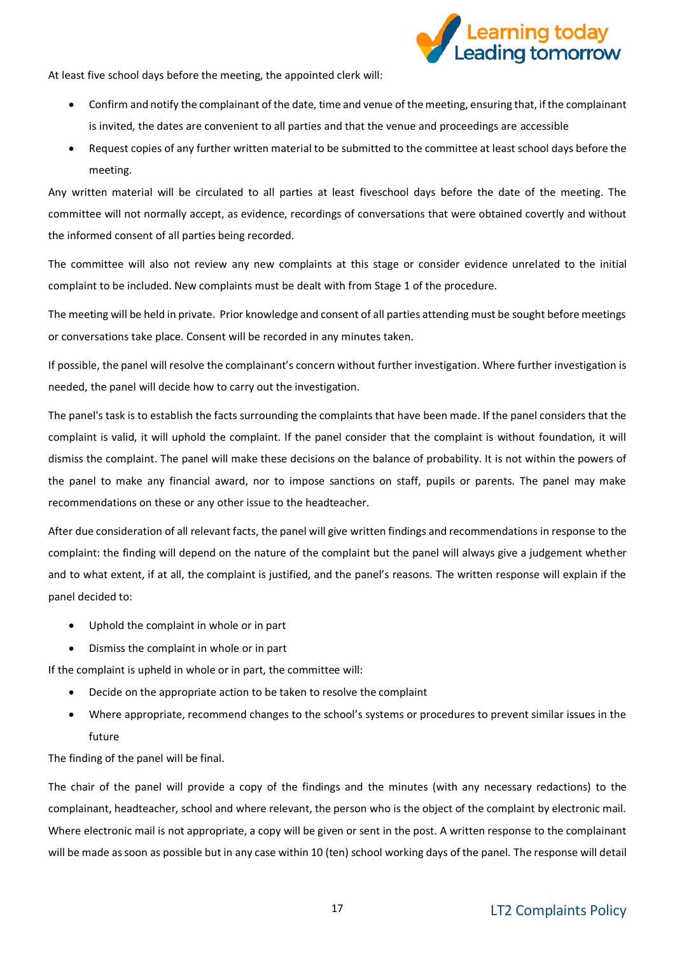

At least five school days before the meeting, the appointed clerk will:

- Confirm and notify the complainant of the date, time and venue of the meeting, ensuring that, if the complainant is invited, the dates are convenient to all parties and that the venue and proceedings are accessible
- Request copies of any further written material to be submitted to the committee at least school days before the meeting.

Any written material will be circulated to all parties at least fiveschool days before the date of the meeting. The committee will not normally accept, as evidence, recordings of conversations that were obtained covertly and without the informed consent of all parties being recorded.

The committee will also not review any new complaints at this stage or consider evidence unrelated to the initial complaint to be included. New complaints must be dealt with from Stage 1 of the procedure.

The meeting will be held in private. Prior knowledge and consent of all parties attending must be sought before meetings or conversations take place. Consent will be recorded in any minutes taken.

If possible, the panel will resolve the complainant's concern without further investigation. Where further investigation is needed, the panel will decide how to carry out the investigation.

The panel's task is to establish the facts surrounding the complaints that have been made. If the panel considers that the complaint is valid, it will uphold the complaint. If the panel consider that the complaint is without foundation, it will dismiss the complaint. The panel will make these decisions on the balance of probability. It is not within the powers of the panel to make any financial award, nor to impose sanctions on staff, pupils or parents. The panel may make recommendations on these or any other issue to the headteacher.

After due consideration of all relevant facts, the panel will give written findings and recommendations in response to the complaint: the finding will depend on the nature of the complaint but the panel will always give a judgement whether and to what extent, if at all, the complaint is justified, and the panel's reasons. The written response will explain if the panel decided to:

- Uphold the complaint in whole or in part
- Dismiss the complaint in whole or in part

If the complaint is upheld in whole or in part, the committee will:

- Decide on the appropriate action to be taken to resolve the complaint
- Where appropriate, recommend changes to the school's systems or procedures to prevent similar issues in the future

The finding of the panel will be final.

The chair of the panel will provide a copy of the findings and the minutes (with any necessary redactions) to the complainant, headteacher, school and where relevant, the person who is the object of the complaint by electronic mail. Where electronic mail is not appropriate, a copy will be given or sent in the post. A written response to the complainant will be made as soon as possible but in any case within 10 (ten) school working days of the panel. The response will detail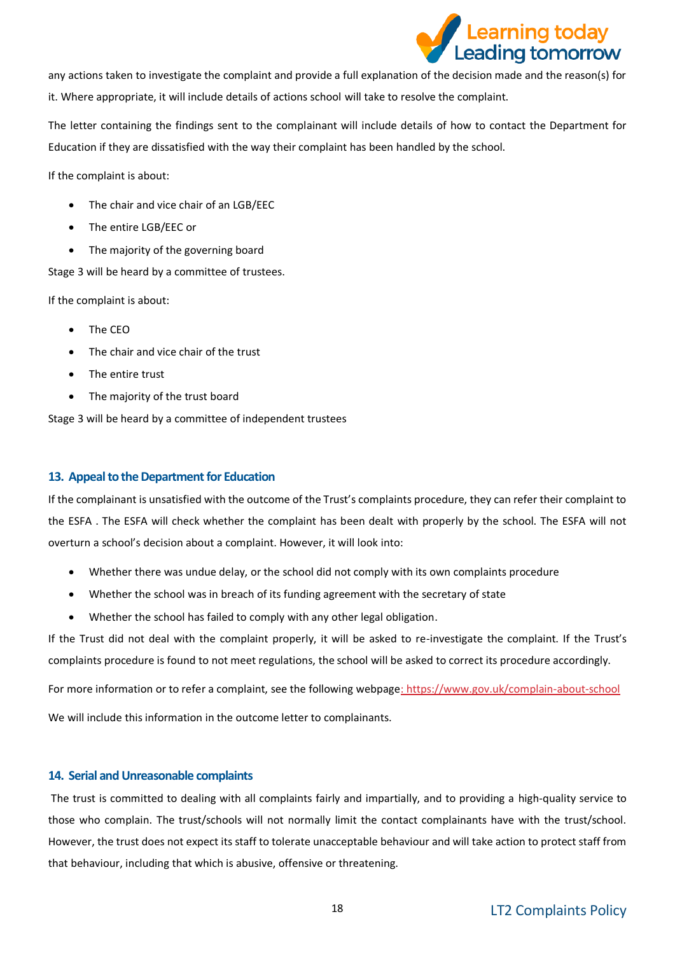

any actions taken to investigate the complaint and provide a full explanation of the decision made and the reason(s) for it. Where appropriate, it will include details of actions school will take to resolve the complaint.

The letter containing the findings sent to the complainant will include details of how to contact the Department for Education if they are dissatisfied with the way their complaint has been handled by the school.

If the complaint is about:

- The chair and vice chair of an LGB/EEC
- The entire LGB/EEC or
- The majority of the governing board

Stage 3 will be heard by a committee of trustees.

If the complaint is about:

- The CEO
- The chair and vice chair of the trust
- The entire trust
- The majority of the trust board

Stage 3 will be heard by a committee of independent trustees

#### <span id="page-17-0"></span>**13. Appeal to the Department for Education**

If the complainant is unsatisfied with the outcome of the Trust's complaints procedure, they can refer their complaint to the ESFA . The ESFA will check whether the complaint has been dealt with properly by the school. The ESFA will not overturn a school's decision about a complaint. However, it will look into:

- Whether there was undue delay, or the school did not comply with its own complaints procedure
- Whether the school was in breach of its funding agreement with the secretary of state
- Whether the school has failed to comply with any other legal obligation.

If the Trust did not deal with the complaint properly, it will be asked to re-investigate the complaint. If the Trust's complaints procedure is found to not meet regulations, the school will be asked to correct its procedure accordingly.

For more information or to refer a complaint, see the following webpag[e: https://www.gov.uk/complain-about-school](:%20https:/www.gov.uk/complain-about-school)

We will include this information in the outcome letter to complainants.

#### <span id="page-17-1"></span>**14. Serial and Unreasonable complaints**

The trust is committed to dealing with all complaints fairly and impartially, and to providing a high-quality service to those who complain. The trust/schools will not normally limit the contact complainants have with the trust/school. However, the trust does not expect its staff to tolerate unacceptable behaviour and will take action to protect staff from that behaviour, including that which is abusive, offensive or threatening.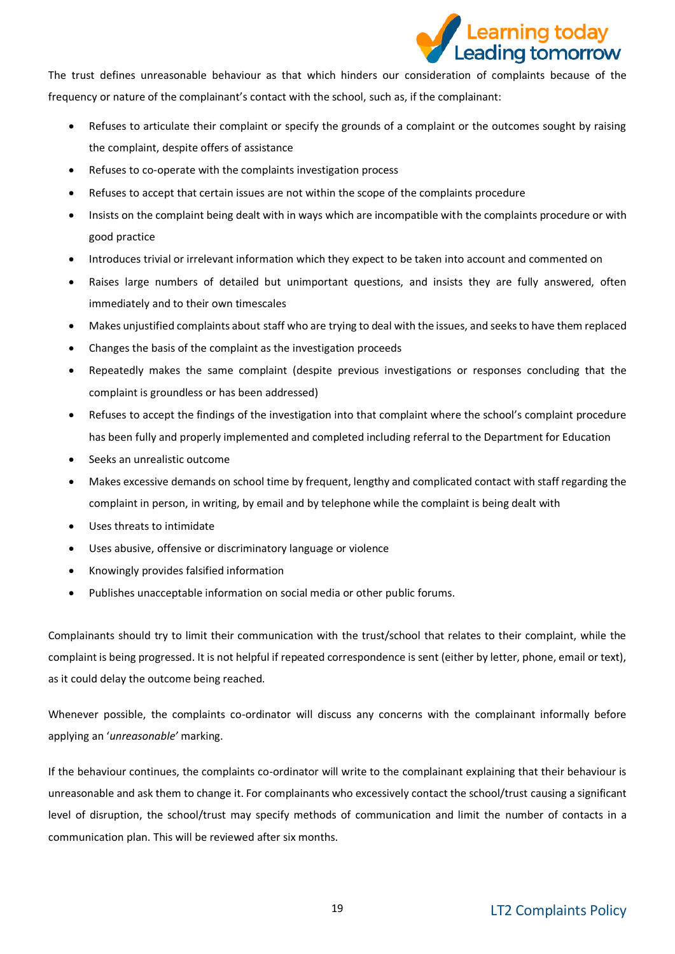

The trust defines unreasonable behaviour as that which hinders our consideration of complaints because of the frequency or nature of the complainant's contact with the school, such as, if the complainant:

- Refuses to articulate their complaint or specify the grounds of a complaint or the outcomes sought by raising the complaint, despite offers of assistance
- Refuses to co-operate with the complaints investigation process
- Refuses to accept that certain issues are not within the scope of the complaints procedure
- Insists on the complaint being dealt with in ways which are incompatible with the complaints procedure or with good practice
- Introduces trivial or irrelevant information which they expect to be taken into account and commented on
- Raises large numbers of detailed but unimportant questions, and insists they are fully answered, often immediately and to their own timescales
- Makes unjustified complaints about staff who are trying to deal with the issues, and seeks to have them replaced
- Changes the basis of the complaint as the investigation proceeds
- Repeatedly makes the same complaint (despite previous investigations or responses concluding that the complaint is groundless or has been addressed)
- Refuses to accept the findings of the investigation into that complaint where the school's complaint procedure has been fully and properly implemented and completed including referral to the Department for Education
- Seeks an unrealistic outcome
- Makes excessive demands on school time by frequent, lengthy and complicated contact with staff regarding the complaint in person, in writing, by email and by telephone while the complaint is being dealt with
- Uses threats to intimidate
- Uses abusive, offensive or discriminatory language or violence
- Knowingly provides falsified information
- Publishes unacceptable information on social media or other public forums.

Complainants should try to limit their communication with the trust/school that relates to their complaint, while the complaint is being progressed. It is not helpful if repeated correspondence is sent (either by letter, phone, email or text), as it could delay the outcome being reached.

Whenever possible, the complaints co-ordinator will discuss any concerns with the complainant informally before applying an '*unreasonable'* marking.

If the behaviour continues, the complaints co-ordinator will write to the complainant explaining that their behaviour is unreasonable and ask them to change it. For complainants who excessively contact the school/trust causing a significant level of disruption, the school/trust may specify methods of communication and limit the number of contacts in a communication plan. This will be reviewed after six months.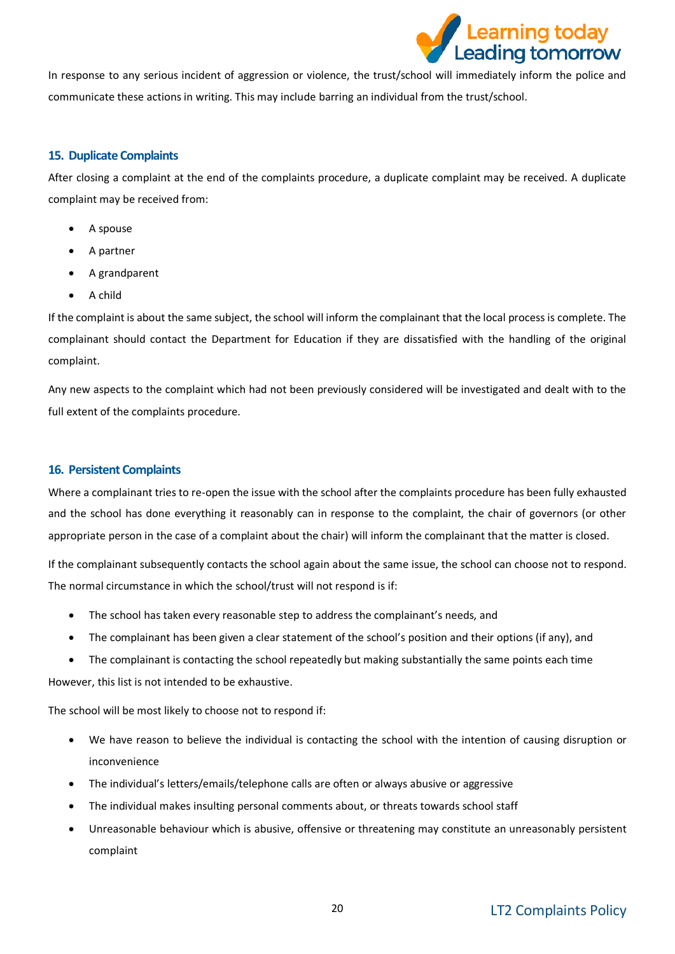

In response to any serious incident of aggression or violence, the trust/school will immediately inform the police and communicate these actions in writing. This may include barring an individual from the trust/school.

#### <span id="page-19-0"></span>**15. Duplicate Complaints**

After closing a complaint at the end of the complaints procedure, a duplicate complaint may be received. A duplicate complaint may be received from:

- A spouse
- A partner
- A grandparent
- A child

If the complaint is about the same subject, the school will inform the complainant that the local process is complete. The complainant should contact the Department for Education if they are dissatisfied with the handling of the original complaint.

Any new aspects to the complaint which had not been previously considered will be investigated and dealt with to the full extent of the complaints procedure.

#### <span id="page-19-1"></span>**16. Persistent Complaints**

Where a complainant tries to re-open the issue with the school after the complaints procedure has been fully exhausted and the school has done everything it reasonably can in response to the complaint, the chair of governors (or other appropriate person in the case of a complaint about the chair) will inform the complainant that the matter is closed.

If the complainant subsequently contacts the school again about the same issue, the school can choose not to respond. The normal circumstance in which the school/trust will not respond is if:

- The school has taken every reasonable step to address the complainant's needs, and
- The complainant has been given a clear statement of the school's position and their options (if any), and
- The complainant is contacting the school repeatedly but making substantially the same points each time

However, this list is not intended to be exhaustive.

The school will be most likely to choose not to respond if:

- We have reason to believe the individual is contacting the school with the intention of causing disruption or inconvenience
- The individual's letters/emails/telephone calls are often or always abusive or aggressive
- The individual makes insulting personal comments about, or threats towards school staff
- Unreasonable behaviour which is abusive, offensive or threatening may constitute an unreasonably persistent complaint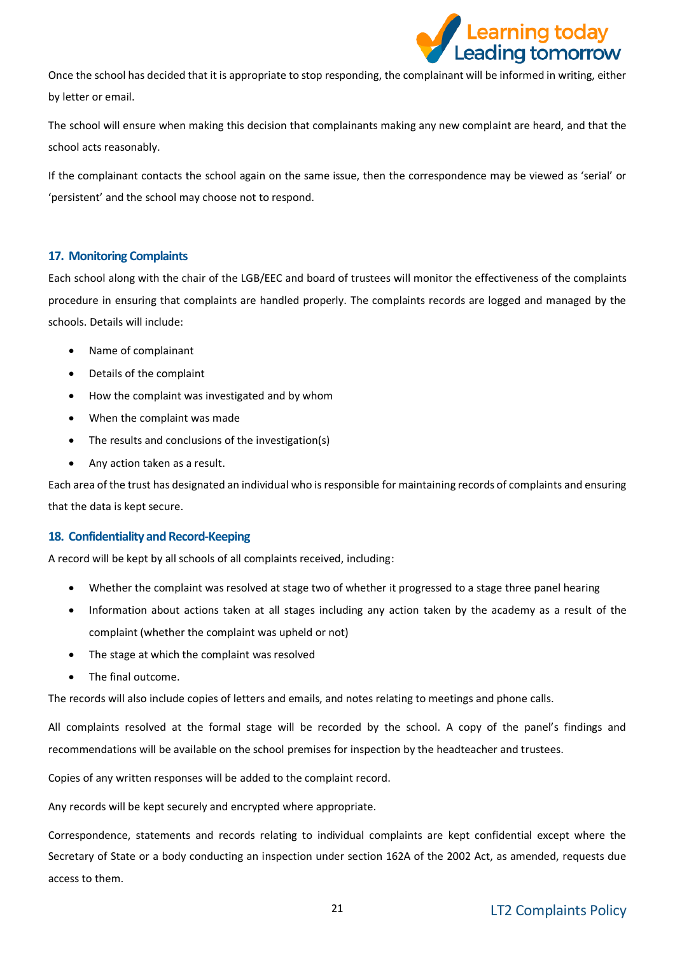

Once the school has decided that it is appropriate to stop responding, the complainant will be informed in writing, either by letter or email.

The school will ensure when making this decision that complainants making any new complaint are heard, and that the school acts reasonably.

If the complainant contacts the school again on the same issue, then the correspondence may be viewed as 'serial' or 'persistent' and the school may choose not to respond.

#### <span id="page-20-0"></span>**17. Monitoring Complaints**

Each school along with the chair of the LGB/EEC and board of trustees will monitor the effectiveness of the complaints procedure in ensuring that complaints are handled properly. The complaints records are logged and managed by the schools. Details will include:

- Name of complainant
- Details of the complaint
- How the complaint was investigated and by whom
- When the complaint was made
- The results and conclusions of the investigation(s)
- Any action taken as a result.

Each area of the trust has designated an individual who isresponsible for maintaining records of complaints and ensuring that the data is kept secure.

#### <span id="page-20-1"></span>**18. Confidentiality and Record-Keeping**

A record will be kept by all schools of all complaints received, including:

- Whether the complaint was resolved at stage two of whether it progressed to a stage three panel hearing
- Information about actions taken at all stages including any action taken by the academy as a result of the complaint (whether the complaint was upheld or not)
- The stage at which the complaint was resolved
- The final outcome.

The records will also include copies of letters and emails, and notes relating to meetings and phone calls.

All complaints resolved at the formal stage will be recorded by the school. A copy of the panel's findings and recommendations will be available on the school premises for inspection by the headteacher and trustees.

Copies of any written responses will be added to the complaint record.

Any records will be kept securely and encrypted where appropriate.

Correspondence, statements and records relating to individual complaints are kept confidential except where the Secretary of State or a body conducting an inspection under section 162A of the 2002 Act, as amended, requests due access to them.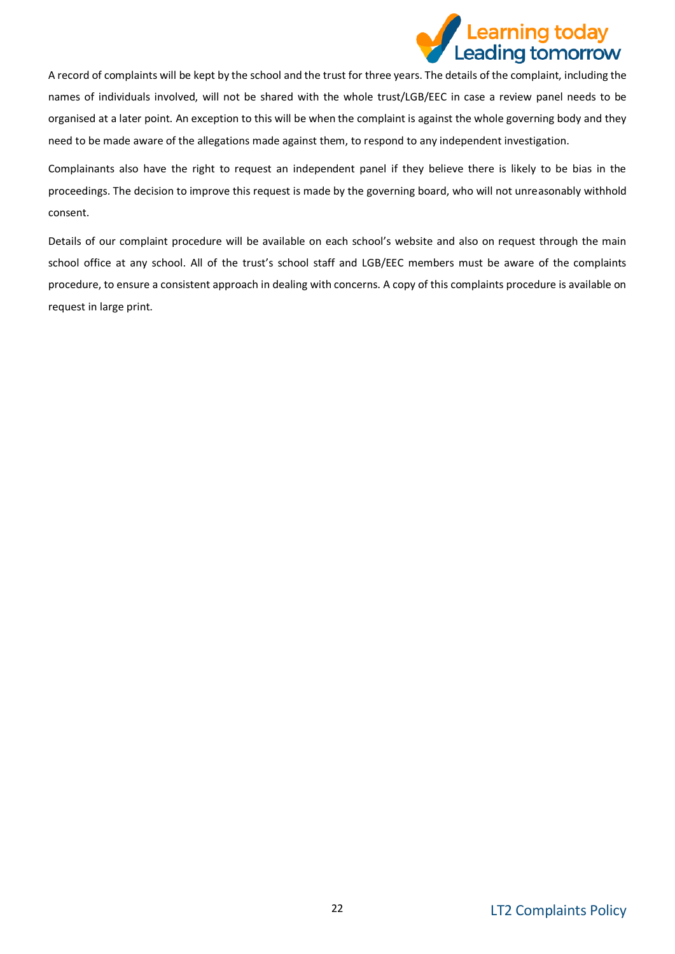

A record of complaints will be kept by the school and the trust for three years. The details of the complaint, including the names of individuals involved, will not be shared with the whole trust/LGB/EEC in case a review panel needs to be organised at a later point. An exception to this will be when the complaint is against the whole governing body and they need to be made aware of the allegations made against them, to respond to any independent investigation.

Complainants also have the right to request an independent panel if they believe there is likely to be bias in the proceedings. The decision to improve this request is made by the governing board, who will not unreasonably withhold consent.

Details of our complaint procedure will be available on each school's website and also on request through the main school office at any school. All of the trust's school staff and LGB/EEC members must be aware of the complaints procedure, to ensure a consistent approach in dealing with concerns. A copy of this complaints procedure is available on request in large print.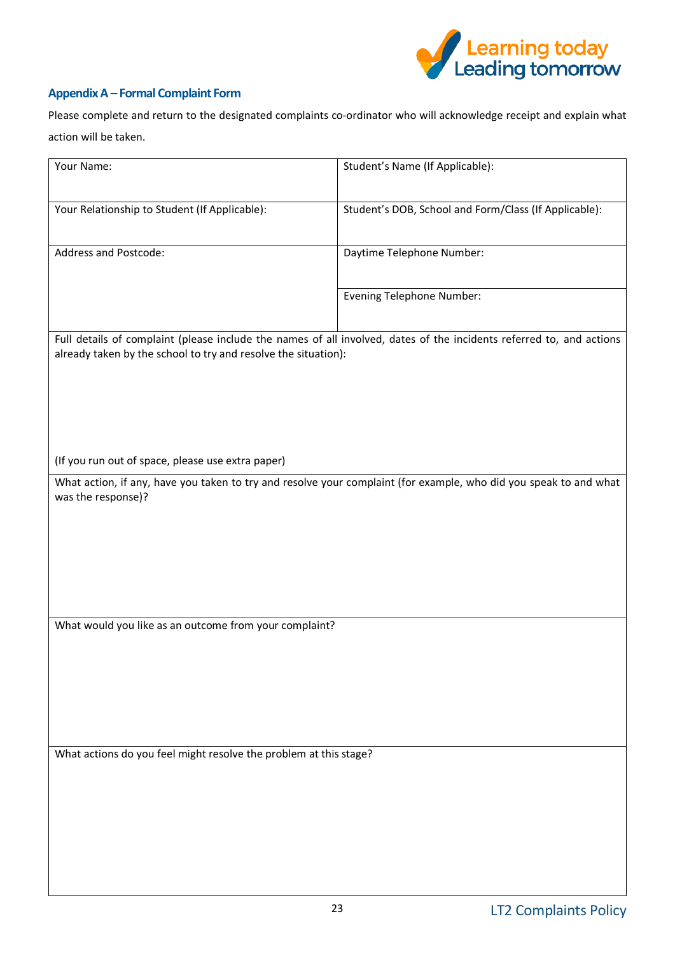

## <span id="page-22-0"></span>**Appendix A – Formal Complaint Form**

Please complete and return to the designated complaints co-ordinator who will acknowledge receipt and explain what action will be taken.

| Your Name:                                                        | Student's Name (If Applicable):                                                                                      |
|-------------------------------------------------------------------|----------------------------------------------------------------------------------------------------------------------|
|                                                                   |                                                                                                                      |
| Your Relationship to Student (If Applicable):                     | Student's DOB, School and Form/Class (If Applicable):                                                                |
|                                                                   |                                                                                                                      |
| Address and Postcode:                                             | Daytime Telephone Number:                                                                                            |
|                                                                   |                                                                                                                      |
|                                                                   |                                                                                                                      |
|                                                                   | <b>Evening Telephone Number:</b>                                                                                     |
|                                                                   |                                                                                                                      |
|                                                                   | Full details of complaint (please include the names of all involved, dates of the incidents referred to, and actions |
| already taken by the school to try and resolve the situation):    |                                                                                                                      |
|                                                                   |                                                                                                                      |
|                                                                   |                                                                                                                      |
|                                                                   |                                                                                                                      |
|                                                                   |                                                                                                                      |
| (If you run out of space, please use extra paper)                 |                                                                                                                      |
|                                                                   | What action, if any, have you taken to try and resolve your complaint (for example, who did you speak to and what    |
| was the response)?                                                |                                                                                                                      |
|                                                                   |                                                                                                                      |
|                                                                   |                                                                                                                      |
|                                                                   |                                                                                                                      |
|                                                                   |                                                                                                                      |
|                                                                   |                                                                                                                      |
|                                                                   |                                                                                                                      |
| What would you like as an outcome from your complaint?            |                                                                                                                      |
|                                                                   |                                                                                                                      |
|                                                                   |                                                                                                                      |
|                                                                   |                                                                                                                      |
|                                                                   |                                                                                                                      |
|                                                                   |                                                                                                                      |
|                                                                   |                                                                                                                      |
| What actions do you feel might resolve the problem at this stage? |                                                                                                                      |
|                                                                   |                                                                                                                      |
|                                                                   |                                                                                                                      |
|                                                                   |                                                                                                                      |
|                                                                   |                                                                                                                      |
|                                                                   |                                                                                                                      |
|                                                                   |                                                                                                                      |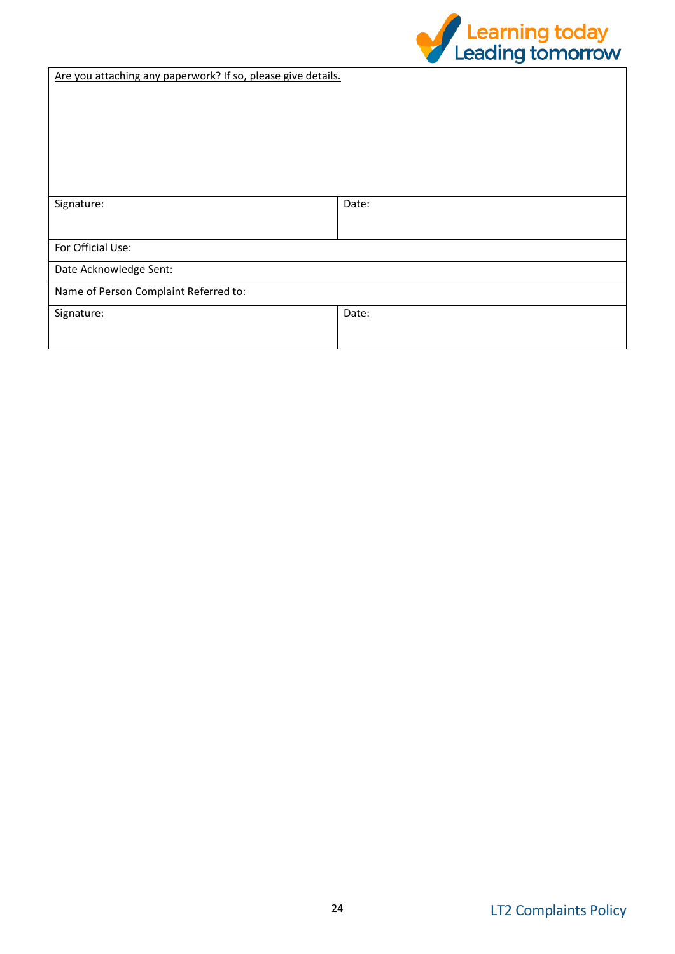

Are you attaching any paperwork? If so, please give details.

| Signature:                            | Date: |  |
|---------------------------------------|-------|--|
|                                       |       |  |
|                                       |       |  |
| For Official Use:                     |       |  |
| Date Acknowledge Sent:                |       |  |
| Name of Person Complaint Referred to: |       |  |
| Signature:                            | Date: |  |
|                                       |       |  |
|                                       |       |  |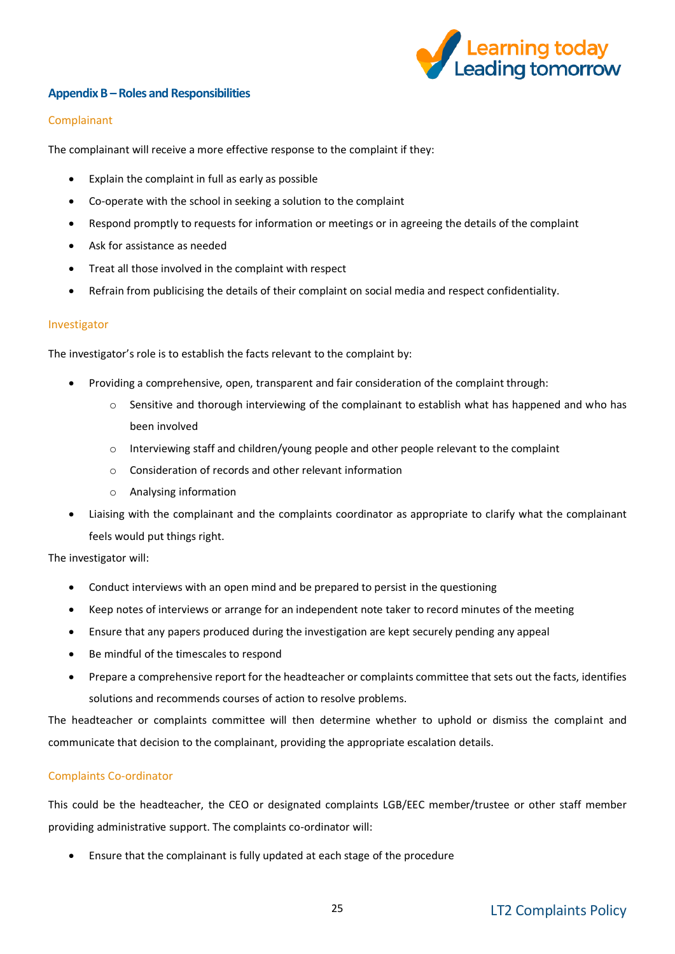

#### <span id="page-24-0"></span>**Appendix B –Roles and Responsibilities**

#### Complainant

The complainant will receive a more effective response to the complaint if they:

- Explain the complaint in full as early as possible
- Co-operate with the school in seeking a solution to the complaint
- Respond promptly to requests for information or meetings or in agreeing the details of the complaint
- Ask for assistance as needed
- Treat all those involved in the complaint with respect
- Refrain from publicising the details of their complaint on social media and respect confidentiality.

#### Investigator

The investigator's role is to establish the facts relevant to the complaint by:

- Providing a comprehensive, open, transparent and fair consideration of the complaint through:
	- $\circ$  Sensitive and thorough interviewing of the complainant to establish what has happened and who has been involved
	- o Interviewing staff and children/young people and other people relevant to the complaint
	- o Consideration of records and other relevant information
	- o Analysing information
- Liaising with the complainant and the complaints coordinator as appropriate to clarify what the complainant feels would put things right.

The investigator will:

- Conduct interviews with an open mind and be prepared to persist in the questioning
- Keep notes of interviews or arrange for an independent note taker to record minutes of the meeting
- Ensure that any papers produced during the investigation are kept securely pending any appeal
- Be mindful of the timescales to respond
- Prepare a comprehensive report for the headteacher or complaints committee that sets out the facts, identifies solutions and recommends courses of action to resolve problems.

The headteacher or complaints committee will then determine whether to uphold or dismiss the complaint and communicate that decision to the complainant, providing the appropriate escalation details.

#### Complaints Co-ordinator

This could be the headteacher, the CEO or designated complaints LGB/EEC member/trustee or other staff member providing administrative support. The complaints co-ordinator will:

• Ensure that the complainant is fully updated at each stage of the procedure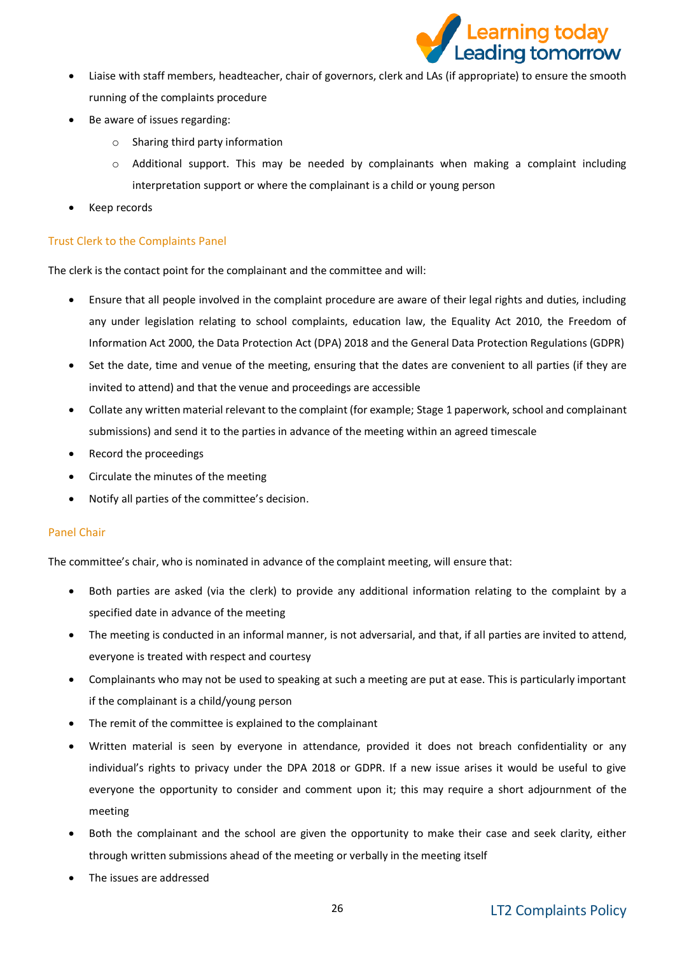

- Liaise with staff members, headteacher, chair of governors, clerk and LAs (if appropriate) to ensure the smooth running of the complaints procedure
- Be aware of issues regarding:
	- o Sharing third party information
	- $\circ$  Additional support. This may be needed by complainants when making a complaint including interpretation support or where the complainant is a child or young person
- Keep records

#### Trust Clerk to the Complaints Panel

The clerk is the contact point for the complainant and the committee and will:

- Ensure that all people involved in the complaint procedure are aware of their legal rights and duties, including any under legislation relating to school complaints, education law, the Equality Act 2010, the Freedom of Information Act 2000, the Data Protection Act (DPA) 2018 and the General Data Protection Regulations (GDPR)
- Set the date, time and venue of the meeting, ensuring that the dates are convenient to all parties (if they are invited to attend) and that the venue and proceedings are accessible
- Collate any written material relevant to the complaint (for example; Stage 1 paperwork, school and complainant submissions) and send it to the parties in advance of the meeting within an agreed timescale
- Record the proceedings
- Circulate the minutes of the meeting
- Notify all parties of the committee's decision.

#### Panel Chair

The committee's chair, who is nominated in advance of the complaint meeting, will ensure that:

- Both parties are asked (via the clerk) to provide any additional information relating to the complaint by a specified date in advance of the meeting
- The meeting is conducted in an informal manner, is not adversarial, and that, if all parties are invited to attend, everyone is treated with respect and courtesy
- Complainants who may not be used to speaking at such a meeting are put at ease. This is particularly important if the complainant is a child/young person
- The remit of the committee is explained to the complainant
- Written material is seen by everyone in attendance, provided it does not breach confidentiality or any individual's rights to privacy under the DPA 2018 or GDPR. If a new issue arises it would be useful to give everyone the opportunity to consider and comment upon it; this may require a short adjournment of the meeting
- Both the complainant and the school are given the opportunity to make their case and seek clarity, either through written submissions ahead of the meeting or verbally in the meeting itself
- The issues are addressed